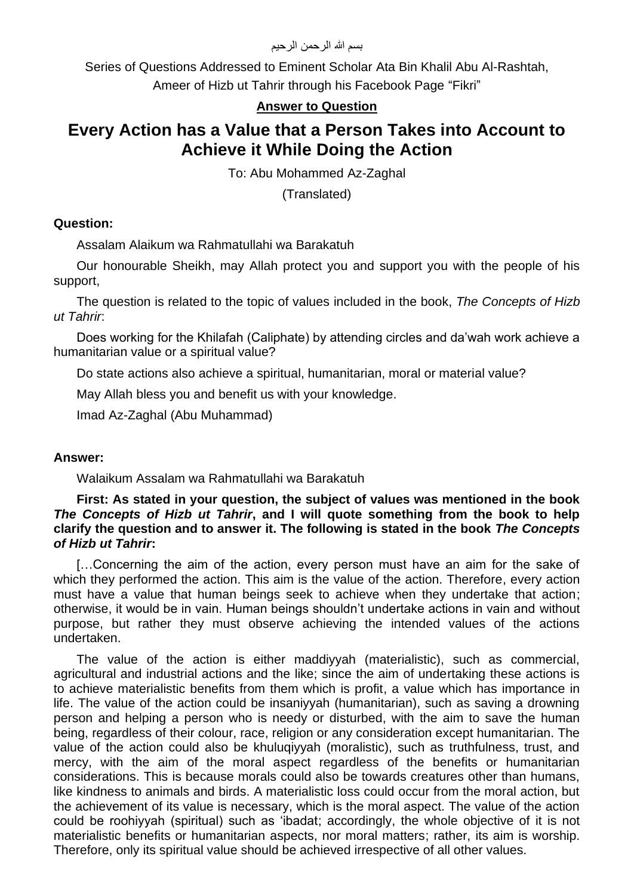Series of Questions Addressed to Eminent Scholar Ata Bin Khalil Abu Al-Rashtah, Ameer of Hizb ut Tahrir through his Facebook Page "Fikri"

## **Answer to Question**

# **Every Action has a Value that a Person Takes into Account to Achieve it While Doing the Action**

To: Abu Mohammed Az-Zaghal

(Translated)

### **Question:**

Assalam Alaikum wa Rahmatullahi wa Barakatuh

Our honourable Sheikh, may Allah protect you and support you with the people of his support,

The question is related to the topic of values included in the book, *The Concepts of Hizb ut Tahrir*:

Does working for the Khilafah (Caliphate) by attending circles and da'wah work achieve a humanitarian value or a spiritual value?

Do state actions also achieve a spiritual, humanitarian, moral or material value?

May Allah bless you and benefit us with your knowledge.

Imad Az-Zaghal (Abu Muhammad)

#### **Answer:**

Walaikum Assalam wa Rahmatullahi wa Barakatuh

#### **First: As stated in your question, the subject of values was mentioned in the book**  *The Concepts of Hizb ut Tahrir***, and I will quote something from the book to help clarify the question and to answer it. The following is stated in the book** *The Concepts of Hizb ut Tahrir***:**

[…Concerning the aim of the action, every person must have an aim for the sake of which they performed the action. This aim is the value of the action. Therefore, every action must have a value that human beings seek to achieve when they undertake that action; otherwise, it would be in vain. Human beings shouldn't undertake actions in vain and without purpose, but rather they must observe achieving the intended values of the actions undertaken.

The value of the action is either maddiyyah (materialistic), such as commercial, agricultural and industrial actions and the like; since the aim of undertaking these actions is to achieve materialistic benefits from them which is profit, a value which has importance in life. The value of the action could be insaniyyah (humanitarian), such as saving a drowning person and helping a person who is needy or disturbed, with the aim to save the human being, regardless of their colour, race, religion or any consideration except humanitarian. The value of the action could also be khuluqiyyah (moralistic), such as truthfulness, trust, and mercy, with the aim of the moral aspect regardless of the benefits or humanitarian considerations. This is because morals could also be towards creatures other than humans, like kindness to animals and birds. A materialistic loss could occur from the moral action, but the achievement of its value is necessary, which is the moral aspect. The value of the action could be roohiyyah (spiritual) such as 'ibadat; accordingly, the whole objective of it is not materialistic benefits or humanitarian aspects, nor moral matters; rather, its aim is worship. Therefore, only its spiritual value should be achieved irrespective of all other values.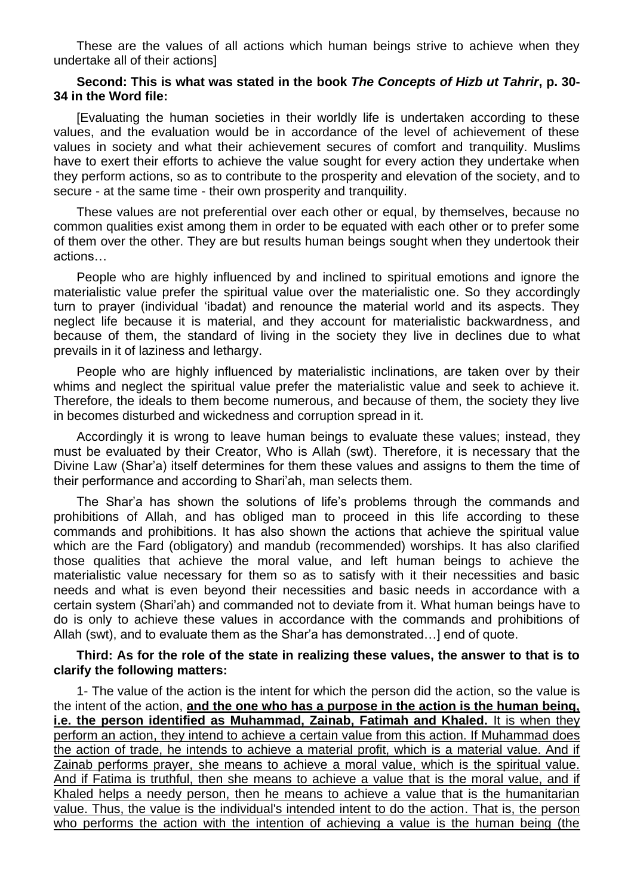These are the values of all actions which human beings strive to achieve when they undertake all of their actions]

#### **Second: This is what was stated in the book** *The Concepts of Hizb ut Tahrir***, p. 30- 34 in the Word file:**

[Evaluating the human societies in their worldly life is undertaken according to these values, and the evaluation would be in accordance of the level of achievement of these values in society and what their achievement secures of comfort and tranquility. Muslims have to exert their efforts to achieve the value sought for every action they undertake when they perform actions, so as to contribute to the prosperity and elevation of the society, and to secure - at the same time - their own prosperity and tranquility.

These values are not preferential over each other or equal, by themselves, because no common qualities exist among them in order to be equated with each other or to prefer some of them over the other. They are but results human beings sought when they undertook their actions…

People who are highly influenced by and inclined to spiritual emotions and ignore the materialistic value prefer the spiritual value over the materialistic one. So they accordingly turn to prayer (individual 'ibadat) and renounce the material world and its aspects. They neglect life because it is material, and they account for materialistic backwardness, and because of them, the standard of living in the society they live in declines due to what prevails in it of laziness and lethargy.

People who are highly influenced by materialistic inclinations, are taken over by their whims and neglect the spiritual value prefer the materialistic value and seek to achieve it. Therefore, the ideals to them become numerous, and because of them, the society they live in becomes disturbed and wickedness and corruption spread in it.

Accordingly it is wrong to leave human beings to evaluate these values; instead, they must be evaluated by their Creator, Who is Allah (swt). Therefore, it is necessary that the Divine Law (Shar'a) itself determines for them these values and assigns to them the time of their performance and according to Shari'ah, man selects them.

The Shar'a has shown the solutions of life's problems through the commands and prohibitions of Allah, and has obliged man to proceed in this life according to these commands and prohibitions. It has also shown the actions that achieve the spiritual value which are the Fard (obligatory) and mandub (recommended) worships. It has also clarified those qualities that achieve the moral value, and left human beings to achieve the materialistic value necessary for them so as to satisfy with it their necessities and basic needs and what is even beyond their necessities and basic needs in accordance with a certain system (Shari'ah) and commanded not to deviate from it. What human beings have to do is only to achieve these values in accordance with the commands and prohibitions of Allah (swt), and to evaluate them as the Shar'a has demonstrated…] end of quote.

#### **Third: As for the role of the state in realizing these values, the answer to that is to clarify the following matters:**

1- The value of the action is the intent for which the person did the action, so the value is the intent of the action, **and the one who has a purpose in the action is the human being, i.e. the person identified as Muhammad, Zainab, Fatimah and Khaled.** It is when they perform an action, they intend to achieve a certain value from this action. If Muhammad does the action of trade, he intends to achieve a material profit, which is a material value. And if Zainab performs prayer, she means to achieve a moral value, which is the spiritual value. And if Fatima is truthful, then she means to achieve a value that is the moral value, and if Khaled helps a needy person, then he means to achieve a value that is the humanitarian value. Thus, the value is the individual's intended intent to do the action. That is, the person who performs the action with the intention of achieving a value is the human being (the